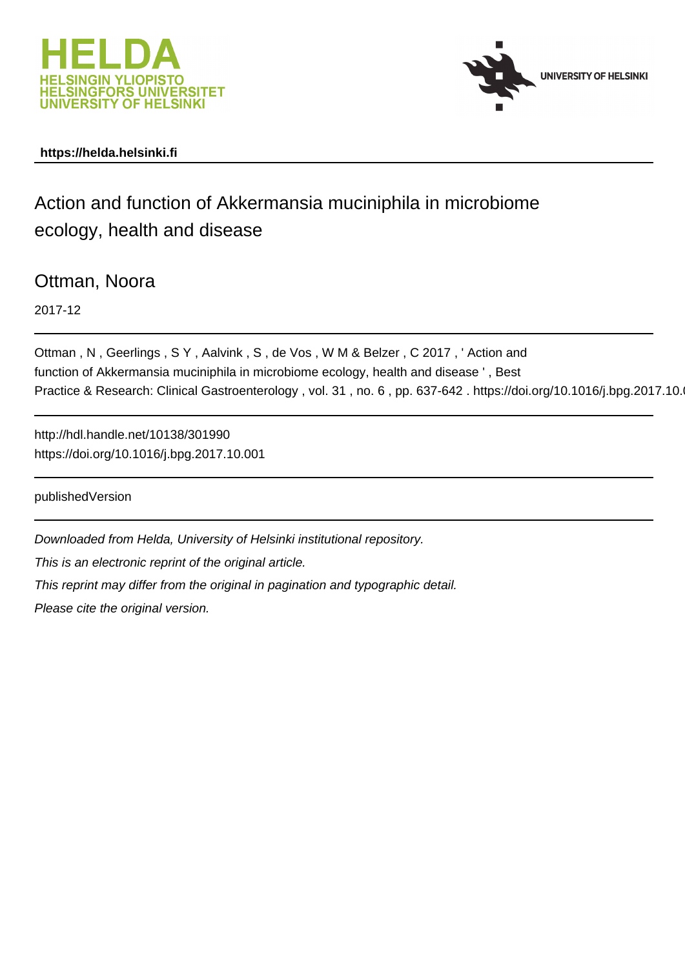



# **https://helda.helsinki.fi**

# Action and function of Akkermansia muciniphila in microbiome ecology, health and disease

Ottman, Noora

2017-12

Ottman , N , Geerlings , S Y , Aalvink , S , de Vos , W M & Belzer , C 2017 , ' Action and function of Akkermansia muciniphila in microbiome ecology, health and disease ' , Best Practice & Research: Clinical Gastroenterology, vol. 31, no. 6, pp. 637-642. https://doi.org/10.1016/j.bpg.2017.10.

http://hdl.handle.net/10138/301990 https://doi.org/10.1016/j.bpg.2017.10.001

publishedVersion

Downloaded from Helda, University of Helsinki institutional repository. This is an electronic reprint of the original article. This reprint may differ from the original in pagination and typographic detail. Please cite the original version.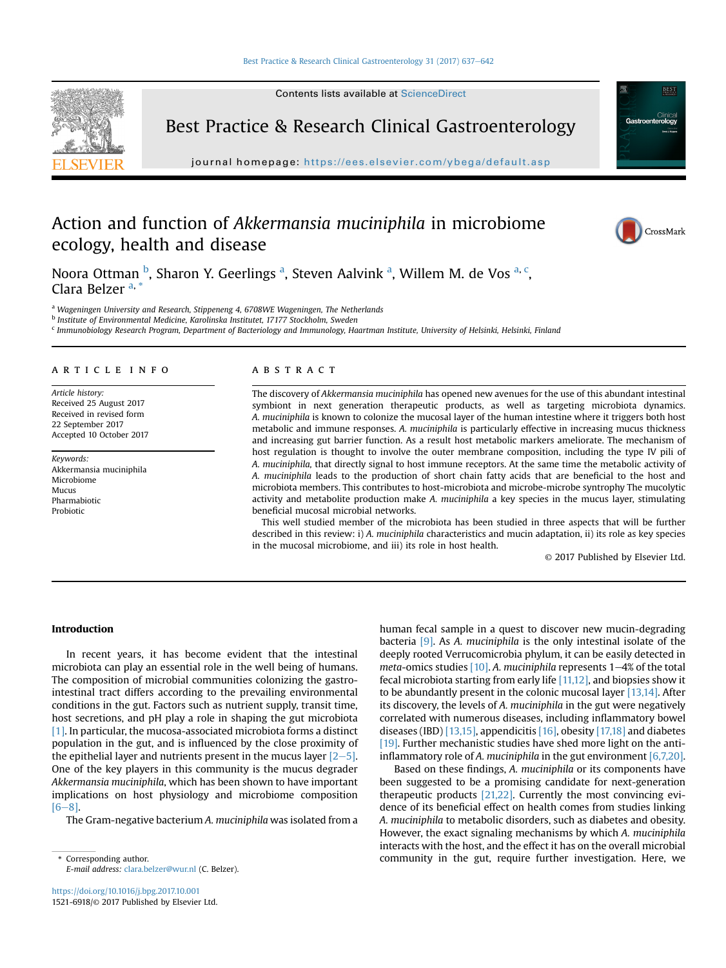Contents lists available at [ScienceDirect](www.sciencedirect.com/science/journal/15216918)



Best Practice & Research Clinical Gastroenterology

journal homepage: [https://ees.elsevier.com/ybega/default.asp](http://ees.elsevier.com/ybega/default.asp)

# Action and function of Akkermansia muciniphila in microbiome ecology, health and disease





Noora Ottman <sup>b</sup>, Sharon Y. Geerlings <sup>a</sup>, Steven Aalvink <sup>a</sup>, Willem M. de Vos <sup>a, c</sup>, Clara Belzer<sup>a, \*</sup>

a Wageningen University and Research, Stippeneng 4, 6708WE Wageningen, The Netherlands

<sup>b</sup> Institute of Environmental Medicine, Karolinska Institutet, 17177 Stockholm, Sweden

<sup>c</sup> Immunobiology Research Program, Department of Bacteriology and Immunology, Haartman Institute, University of Helsinki, Helsinki, Finland

# article info

Article history: Received 25 August 2017 Received in revised form 22 September 2017 Accepted 10 October 2017

Keywords: Akkermansia muciniphila Microbiome Mucus Pharmabiotic Probiotic

# ABSTRACT

The discovery of Akkermansia muciniphila has opened new avenues for the use of this abundant intestinal symbiont in next generation therapeutic products, as well as targeting microbiota dynamics. A. muciniphila is known to colonize the mucosal layer of the human intestine where it triggers both host metabolic and immune responses. A. muciniphila is particularly effective in increasing mucus thickness and increasing gut barrier function. As a result host metabolic markers ameliorate. The mechanism of host regulation is thought to involve the outer membrane composition, including the type IV pili of A. muciniphila, that directly signal to host immune receptors. At the same time the metabolic activity of A. muciniphila leads to the production of short chain fatty acids that are beneficial to the host and microbiota members. This contributes to host-microbiota and microbe-microbe syntrophy The mucolytic activity and metabolite production make A. muciniphila a key species in the mucus layer, stimulating beneficial mucosal microbial networks.

This well studied member of the microbiota has been studied in three aspects that will be further described in this review: i) A. muciniphila characteristics and mucin adaptation, ii) its role as key species in the mucosal microbiome, and iii) its role in host health.

© 2017 Published by Elsevier Ltd.

# Introduction

In recent years, it has become evident that the intestinal microbiota can play an essential role in the well being of humans. The composition of microbial communities colonizing the gastrointestinal tract differs according to the prevailing environmental conditions in the gut. Factors such as nutrient supply, transit time, host secretions, and pH play a role in shaping the gut microbiota [1]. In particular, the mucosa-associated microbiota forms a distinct population in the gut, and is influenced by the close proximity of the epithelial layer and nutrients present in the mucus layer  $[2-5]$ . One of the key players in this community is the mucus degrader Akkermansia muciniphila, which has been shown to have important implications on host physiology and microbiome composition  $[6-8]$ .

The Gram-negative bacterium A. muciniphila was isolated from a

human fecal sample in a quest to discover new mucin-degrading bacteria [9]. As A. muciniphila is the only intestinal isolate of the deeply rooted Verrucomicrobia phylum, it can be easily detected in meta-omics studies  $[10]$ . A. muciniphila represents  $1-4%$  of the total fecal microbiota starting from early life [11,12], and biopsies show it to be abundantly present in the colonic mucosal layer [13,14]. After its discovery, the levels of A. muciniphila in the gut were negatively correlated with numerous diseases, including inflammatory bowel diseases (IBD) [13,15], appendicitis [16], obesity [17,18] and diabetes [19]. Further mechanistic studies have shed more light on the antiinflammatory role of A. muciniphila in the gut environment  $[6,7,20]$ .

Based on these findings, A. muciniphila or its components have been suggested to be a promising candidate for next-generation therapeutic products [21,22]. Currently the most convincing evidence of its beneficial effect on health comes from studies linking A. muciniphila to metabolic disorders, such as diabetes and obesity. However, the exact signaling mechanisms by which A. muciniphila interacts with the host, and the effect it has on the overall microbial Corresponding author. Community in the gut, require further investigation. Here, we

E-mail address: [clara.belzer@wur.nl](mailto:clara.belzer@wur.nl) (C. Belzer).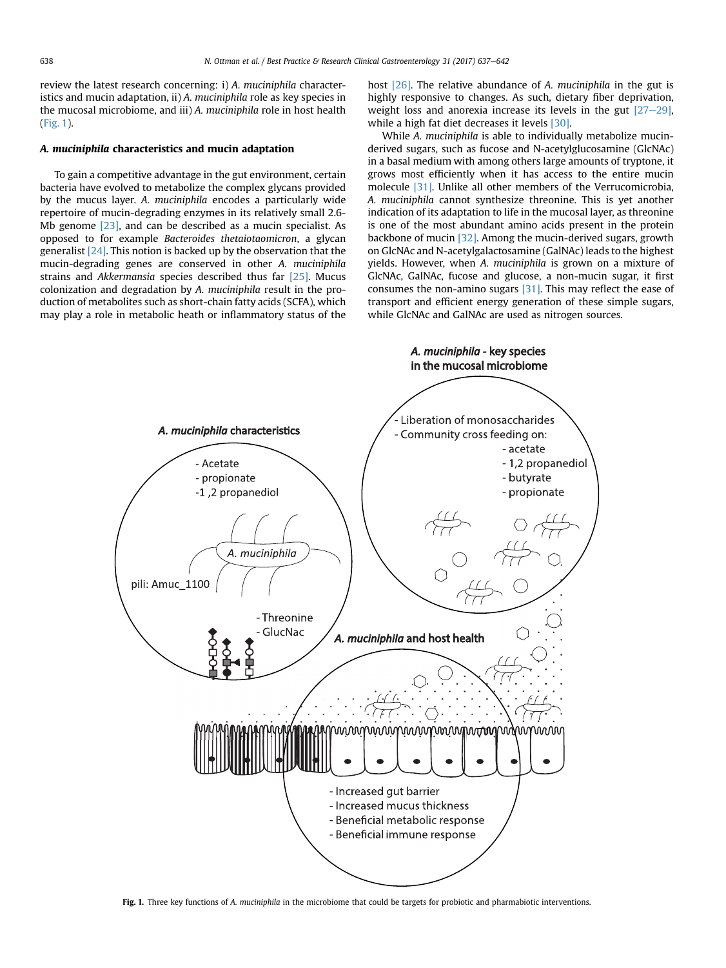review the latest research concerning: i) A. muciniphila characteristics and mucin adaptation, ii) A. muciniphila role as key species in the mucosal microbiome, and iii) A. muciniphila role in host health (Fig. 1).

## A. muciniphila characteristics and mucin adaptation

To gain a competitive advantage in the gut environment, certain bacteria have evolved to metabolize the complex glycans provided by the mucus layer. A. muciniphila encodes a particularly wide repertoire of mucin-degrading enzymes in its relatively small 2.6- Mb genome [23], and can be described as a mucin specialist. As opposed to for example Bacteroides thetaiotaomicron, a glycan generalist [24]. This notion is backed up by the observation that the mucin-degrading genes are conserved in other A. muciniphila strains and Akkermansia species described thus far [25]. Mucus colonization and degradation by A. muciniphila result in the production of metabolites such as short-chain fatty acids (SCFA), which may play a role in metabolic heath or inflammatory status of the host [26]. The relative abundance of A. muciniphila in the gut is highly responsive to changes. As such, dietary fiber deprivation, weight loss and anorexia increase its levels in the gut  $[27-29]$ , while a high fat diet decreases it levels [30].

While A. muciniphila is able to individually metabolize mucinderived sugars, such as fucose and N-acetylglucosamine (GlcNAc) in a basal medium with among others large amounts of tryptone, it grows most efficiently when it has access to the entire mucin molecule [31]. Unlike all other members of the Verrucomicrobia, A. muciniphila cannot synthesize threonine. This is yet another indication of its adaptation to life in the mucosal layer, as threonine is one of the most abundant amino acids present in the protein backbone of mucin [32]. Among the mucin-derived sugars, growth on GlcNAc and N-acetylgalactosamine (GalNAc) leads to the highest yields. However, when A. muciniphila is grown on a mixture of GlcNAc, GalNAc, fucose and glucose, a non-mucin sugar, it first consumes the non-amino sugars [31]. This may reflect the ease of transport and efficient energy generation of these simple sugars, while GlcNAc and GalNAc are used as nitrogen sources.



Fig. 1. Three key functions of A. muciniphila in the microbiome that could be targets for probiotic and pharmabiotic interventions.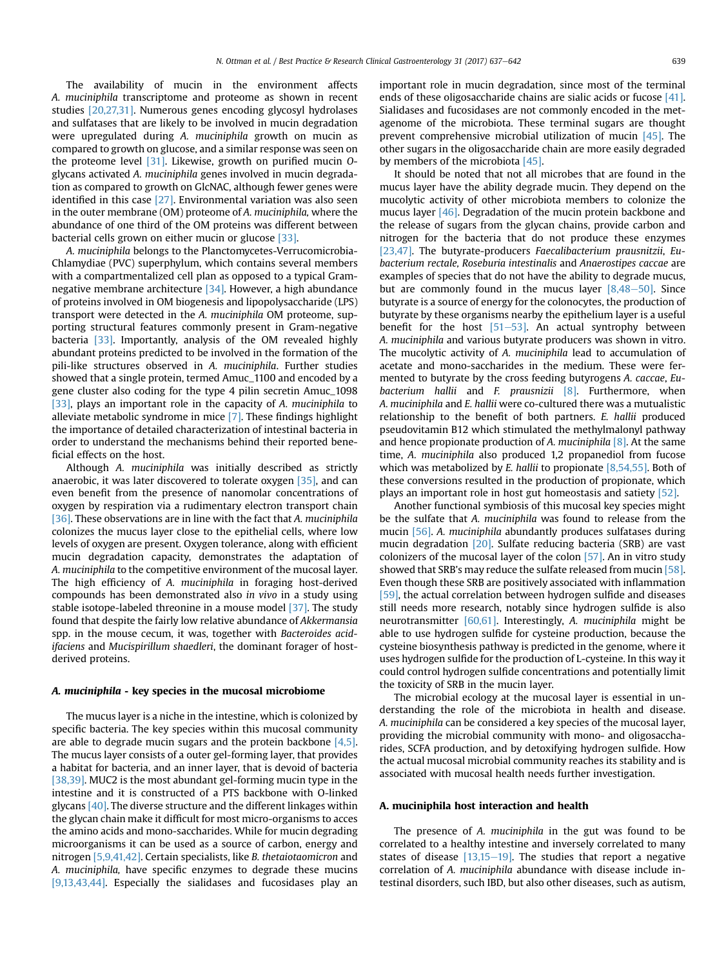The availability of mucin in the environment affects A. muciniphila transcriptome and proteome as shown in recent studies [20,27,31]. Numerous genes encoding glycosyl hydrolases and sulfatases that are likely to be involved in mucin degradation were upregulated during A. muciniphila growth on mucin as compared to growth on glucose, and a similar response was seen on the proteome level [31]. Likewise, growth on purified mucin Oglycans activated A. muciniphila genes involved in mucin degradation as compared to growth on GlcNAC, although fewer genes were identified in this case [27]. Environmental variation was also seen in the outer membrane (OM) proteome of A. muciniphila, where the abundance of one third of the OM proteins was different between bacterial cells grown on either mucin or glucose [33].

A. muciniphila belongs to the Planctomycetes-Verrucomicrobia-Chlamydiae (PVC) superphylum, which contains several members with a compartmentalized cell plan as opposed to a typical Gramnegative membrane architecture [34]. However, a high abundance of proteins involved in OM biogenesis and lipopolysaccharide (LPS) transport were detected in the A. muciniphila OM proteome, supporting structural features commonly present in Gram-negative bacteria [33]. Importantly, analysis of the OM revealed highly abundant proteins predicted to be involved in the formation of the pili-like structures observed in A. muciniphila. Further studies showed that a single protein, termed Amuc\_1100 and encoded by a gene cluster also coding for the type 4 pilin secretin Amuc\_1098 [33], plays an important role in the capacity of A. muciniphila to alleviate metabolic syndrome in mice [7]. These findings highlight the importance of detailed characterization of intestinal bacteria in order to understand the mechanisms behind their reported beneficial effects on the host.

Although A. muciniphila was initially described as strictly anaerobic, it was later discovered to tolerate oxygen [35], and can even benefit from the presence of nanomolar concentrations of oxygen by respiration via a rudimentary electron transport chain [36]. These observations are in line with the fact that A. muciniphila colonizes the mucus layer close to the epithelial cells, where low levels of oxygen are present. Oxygen tolerance, along with efficient mucin degradation capacity, demonstrates the adaptation of A. muciniphila to the competitive environment of the mucosal layer. The high efficiency of A. muciniphila in foraging host-derived compounds has been demonstrated also in vivo in a study using stable isotope-labeled threonine in a mouse model [37]. The study found that despite the fairly low relative abundance of Akkermansia spp. in the mouse cecum, it was, together with Bacteroides acidifaciens and Mucispirillum shaedleri, the dominant forager of hostderived proteins.

#### A. muciniphila - key species in the mucosal microbiome

The mucus layer is a niche in the intestine, which is colonized by specific bacteria. The key species within this mucosal community are able to degrade mucin sugars and the protein backbone  $[4,5]$ . The mucus layer consists of a outer gel-forming layer, that provides a habitat for bacteria, and an inner layer, that is devoid of bacteria [38,39]. MUC2 is the most abundant gel-forming mucin type in the intestine and it is constructed of a PTS backbone with O-linked glycans [40]. The diverse structure and the different linkages within the glycan chain make it difficult for most micro-organisms to acces the amino acids and mono-saccharides. While for mucin degrading microorganisms it can be used as a source of carbon, energy and nitrogen [5,9,41,42]. Certain specialists, like B. thetaiotaomicron and A. muciniphila, have specific enzymes to degrade these mucins [9,13,43,44]. Especially the sialidases and fucosidases play an important role in mucin degradation, since most of the terminal ends of these oligosaccharide chains are sialic acids or fucose [41]. Sialidases and fucosidases are not commonly encoded in the metagenome of the microbiota. These terminal sugars are thought prevent comprehensive microbial utilization of mucin [45]. The other sugars in the oligosaccharide chain are more easily degraded by members of the microbiota [45].

It should be noted that not all microbes that are found in the mucus layer have the ability degrade mucin. They depend on the mucolytic activity of other microbiota members to colonize the mucus layer [46]. Degradation of the mucin protein backbone and the release of sugars from the glycan chains, provide carbon and nitrogen for the bacteria that do not produce these enzymes [23,47]. The butyrate-producers Faecalibacterium prausnitzii, Eubacterium rectale, Roseburia intestinalis and Anaerostipes caccae are examples of species that do not have the ability to degrade mucus, but are commonly found in the mucus layer  $[8,48-50]$ . Since butyrate is a source of energy for the colonocytes, the production of butyrate by these organisms nearby the epithelium layer is a useful benefit for the host  $[51–53]$ . An actual syntrophy between A. muciniphila and various butyrate producers was shown in vitro. The mucolytic activity of A. muciniphila lead to accumulation of acetate and mono-saccharides in the medium. These were fermented to butyrate by the cross feeding butyrogens A. caccae, Eubacterium hallii and F. prausnizii  $[8]$ . Furthermore, when A. muciniphila and E. hallii were co-cultured there was a mutualistic relationship to the benefit of both partners. E. hallii produced pseudovitamin B12 which stimulated the methylmalonyl pathway and hence propionate production of A. muciniphila  $[8]$ . At the same time, A. muciniphila also produced 1,2 propanediol from fucose which was metabolized by E. hallii to propionate [8,54,55]. Both of these conversions resulted in the production of propionate, which plays an important role in host gut homeostasis and satiety [52].

Another functional symbiosis of this mucosal key species might be the sulfate that A. muciniphila was found to release from the mucin [56]. A. muciniphila abundantly produces sulfatases during mucin degradation [20]. Sulfate reducing bacteria (SRB) are vast colonizers of the mucosal layer of the colon [57]. An in vitro study showed that SRB's may reduce the sulfate released from mucin [58]. Even though these SRB are positively associated with inflammation [59], the actual correlation between hydrogen sulfide and diseases still needs more research, notably since hydrogen sulfide is also neurotransmitter [60,61]. Interestingly, A. muciniphila might be able to use hydrogen sulfide for cysteine production, because the cysteine biosynthesis pathway is predicted in the genome, where it uses hydrogen sulfide for the production of L-cysteine. In this way it could control hydrogen sulfide concentrations and potentially limit the toxicity of SRB in the mucin layer.

The microbial ecology at the mucosal layer is essential in understanding the role of the microbiota in health and disease. A. muciniphila can be considered a key species of the mucosal layer, providing the microbial community with mono- and oligosaccharides, SCFA production, and by detoxifying hydrogen sulfide. How the actual mucosal microbial community reaches its stability and is associated with mucosal health needs further investigation.

#### A. muciniphila host interaction and health

The presence of A. muciniphila in the gut was found to be correlated to a healthy intestine and inversely correlated to many states of disease  $[13,15-19]$ . The studies that report a negative correlation of A. muciniphila abundance with disease include intestinal disorders, such IBD, but also other diseases, such as autism,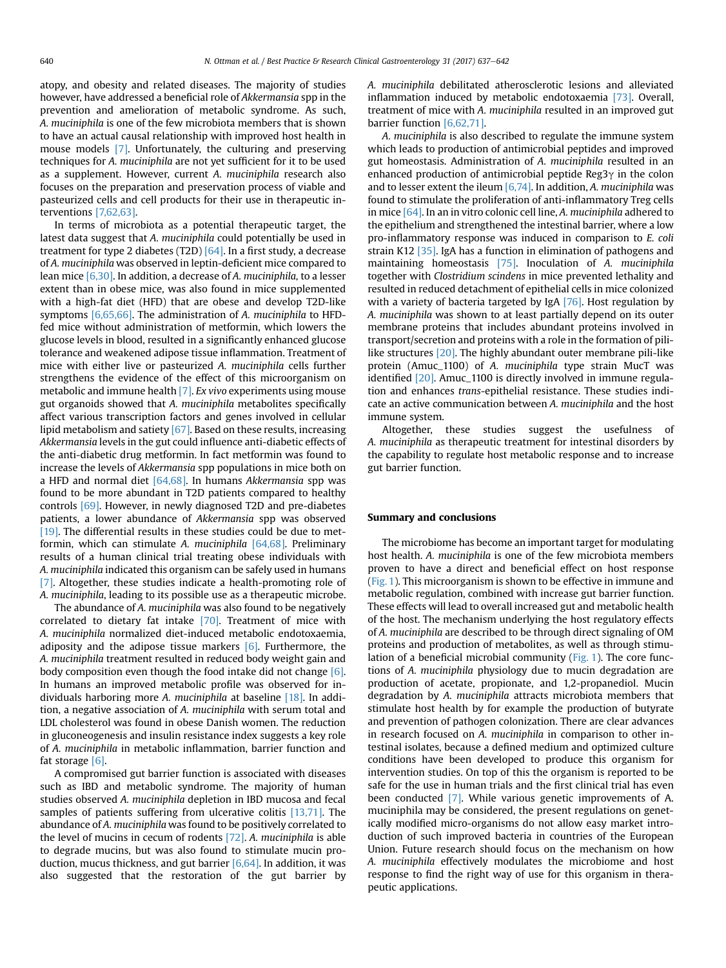atopy, and obesity and related diseases. The majority of studies however, have addressed a beneficial role of Akkermansia spp in the prevention and amelioration of metabolic syndrome. As such, A. muciniphila is one of the few microbiota members that is shown to have an actual causal relationship with improved host health in mouse models [7]. Unfortunately, the culturing and preserving techniques for A. muciniphila are not yet sufficient for it to be used as a supplement. However, current A. muciniphila research also focuses on the preparation and preservation process of viable and pasteurized cells and cell products for their use in therapeutic interventions [7,62,63].

In terms of microbiota as a potential therapeutic target, the latest data suggest that A. muciniphila could potentially be used in treatment for type 2 diabetes (T2D)  $[64]$ . In a first study, a decrease of A. muciniphila was observed in leptin-deficient mice compared to lean mice [6,30]. In addition, a decrease of A. muciniphila, to a lesser extent than in obese mice, was also found in mice supplemented with a high-fat diet (HFD) that are obese and develop T2D-like symptoms [6,65,66]. The administration of A. *muciniphila* to HFDfed mice without administration of metformin, which lowers the glucose levels in blood, resulted in a significantly enhanced glucose tolerance and weakened adipose tissue inflammation. Treatment of mice with either live or pasteurized A. muciniphila cells further strengthens the evidence of the effect of this microorganism on metabolic and immune health [7]. Ex vivo experiments using mouse gut organoids showed that A. muciniphila metabolites specifically affect various transcription factors and genes involved in cellular lipid metabolism and satiety [67]. Based on these results, increasing Akkermansia levels in the gut could influence anti-diabetic effects of the anti-diabetic drug metformin. In fact metformin was found to increase the levels of Akkermansia spp populations in mice both on a HFD and normal diet [64,68]. In humans Akkermansia spp was found to be more abundant in T2D patients compared to healthy controls [69]. However, in newly diagnosed T2D and pre-diabetes patients, a lower abundance of Akkermansia spp was observed  $[19]$ . The differential results in these studies could be due to metformin, which can stimulate A. muciniphila [64,68]. Preliminary results of a human clinical trial treating obese individuals with A. muciniphila indicated this organism can be safely used in humans [7]. Altogether, these studies indicate a health-promoting role of A. muciniphila, leading to its possible use as a therapeutic microbe.

The abundance of A. muciniphila was also found to be negatively correlated to dietary fat intake [70]. Treatment of mice with A. muciniphila normalized diet-induced metabolic endotoxaemia, adiposity and the adipose tissue markers  $[6]$ . Furthermore, the A. muciniphila treatment resulted in reduced body weight gain and body composition even though the food intake did not change [6]. In humans an improved metabolic profile was observed for individuals harboring more A. muciniphila at baseline [18]. In addition, a negative association of A. muciniphila with serum total and LDL cholesterol was found in obese Danish women. The reduction in gluconeogenesis and insulin resistance index suggests a key role of A. muciniphila in metabolic inflammation, barrier function and fat storage [6].

A compromised gut barrier function is associated with diseases such as IBD and metabolic syndrome. The majority of human studies observed A. muciniphila depletion in IBD mucosa and fecal samples of patients suffering from ulcerative colitis [13,71]. The abundance of A. muciniphila was found to be positively correlated to the level of mucins in cecum of rodents [72]. A. muciniphila is able to degrade mucins, but was also found to stimulate mucin production, mucus thickness, and gut barrier  $[6,64]$ . In addition, it was also suggested that the restoration of the gut barrier by A. muciniphila debilitated atherosclerotic lesions and alleviated inflammation induced by metabolic endotoxaemia [73]. Overall, treatment of mice with A. muciniphila resulted in an improved gut barrier function [6,62,71].

A. muciniphila is also described to regulate the immune system which leads to production of antimicrobial peptides and improved gut homeostasis. Administration of A. muciniphila resulted in an enhanced production of antimicrobial peptide  $\text{Reg3}\gamma$  in the colon and to lesser extent the ileum  $[6,74]$ . In addition, A. muciniphila was found to stimulate the proliferation of anti-inflammatory Treg cells in mice [64]. In an in vitro colonic cell line, A. muciniphila adhered to the epithelium and strengthened the intestinal barrier, where a low pro-inflammatory response was induced in comparison to E. coli strain K12 [35]. IgA has a function in elimination of pathogens and maintaining homeostasis [75]. Inoculation of A. muciniphila together with Clostridium scindens in mice prevented lethality and resulted in reduced detachment of epithelial cells in mice colonized with a variety of bacteria targeted by IgA  $[76]$ . Host regulation by A. muciniphila was shown to at least partially depend on its outer membrane proteins that includes abundant proteins involved in transport/secretion and proteins with a role in the formation of pililike structures [20]. The highly abundant outer membrane pili-like protein (Amuc\_1100) of A. muciniphila type strain MucT was identified [20]. Amuc\_1100 is directly involved in immune regulation and enhances trans-epithelial resistance. These studies indicate an active communication between A. muciniphila and the host immune system.

Altogether, these studies suggest the usefulness of A. muciniphila as therapeutic treatment for intestinal disorders by the capability to regulate host metabolic response and to increase gut barrier function.

#### Summary and conclusions

The microbiome has become an important target for modulating host health. A. muciniphila is one of the few microbiota members proven to have a direct and beneficial effect on host response (Fig. 1). This microorganism is shown to be effective in immune and metabolic regulation, combined with increase gut barrier function. These effects will lead to overall increased gut and metabolic health of the host. The mechanism underlying the host regulatory effects of A. muciniphila are described to be through direct signaling of OM proteins and production of metabolites, as well as through stimulation of a beneficial microbial community (Fig. 1). The core functions of A. muciniphila physiology due to mucin degradation are production of acetate, propionate, and 1,2-propanediol. Mucin degradation by A. muciniphila attracts microbiota members that stimulate host health by for example the production of butyrate and prevention of pathogen colonization. There are clear advances in research focused on A. muciniphila in comparison to other intestinal isolates, because a defined medium and optimized culture conditions have been developed to produce this organism for intervention studies. On top of this the organism is reported to be safe for the use in human trials and the first clinical trial has even been conducted [7]. While various genetic improvements of A. muciniphila may be considered, the present regulations on genetically modified micro-organisms do not allow easy market introduction of such improved bacteria in countries of the European Union. Future research should focus on the mechanism on how A. muciniphila effectively modulates the microbiome and host response to find the right way of use for this organism in therapeutic applications.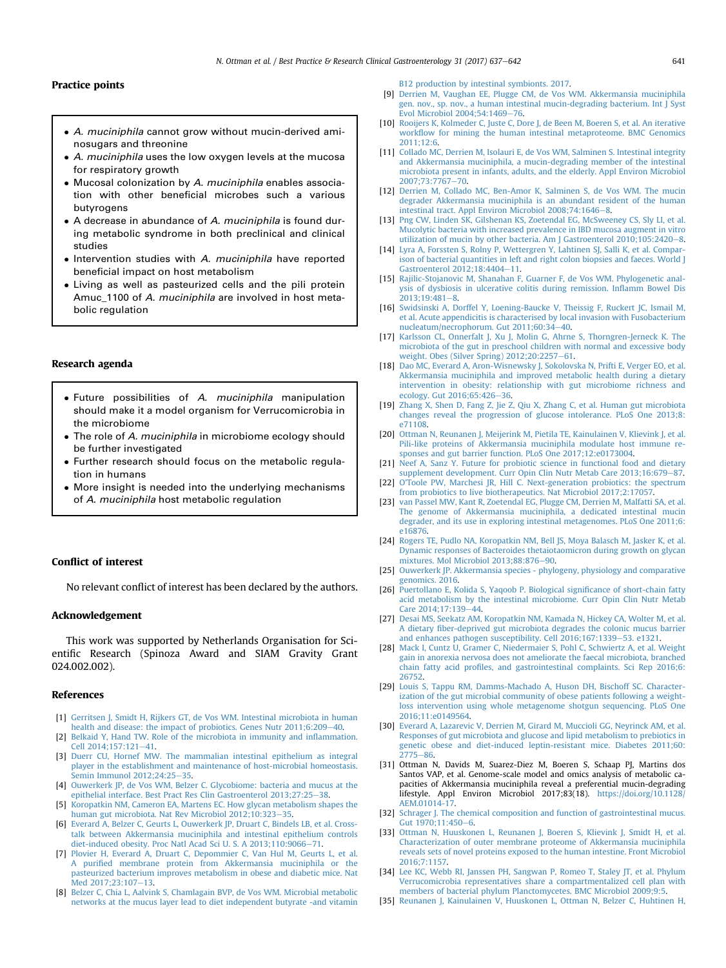#### Practice points

- A. muciniphila cannot grow without mucin-derived aminosugars and threonine
- A. muciniphila uses the low oxygen levels at the mucosa for respiratory growth
- Mucosal colonization by A. muciniphila enables association with other beneficial microbes such a various butyrogens
- A decrease in abundance of A. muciniphila is found during metabolic syndrome in both preclinical and clinical studies
- Intervention studies with A. muciniphila have reported beneficial impact on host metabolism
- Living as well as pasteurized cells and the pili protein Amuc 1100 of A. muciniphila are involved in host metabolic regulation

## Research agenda

- Future possibilities of A. muciniphila manipulation should make it a model organism for Verrucomicrobia in the microbiome
- The role of A. muciniphila in microbiome ecology should be further investigated
- Further research should focus on the metabolic regulation in humans
- More insight is needed into the underlying mechanisms of A. muciniphila host metabolic regulation

### Conflict of interest

No relevant conflict of interest has been declared by the authors.

#### Acknowledgement

This work was supported by Netherlands Organisation for Scientific Research (Spinoza Award and SIAM Gravity Grant 024.002.002).

#### References

- [1] [Gerritsen J, Smidt H, Rijkers GT, de Vos WM. Intestinal microbiota in human](http://refhub.elsevier.com/S1521-6918(17)30113-0/sref1) [health and disease: the impact of probiotics. Genes Nutr 2011;6:209](http://refhub.elsevier.com/S1521-6918(17)30113-0/sref1)-[40](http://refhub.elsevier.com/S1521-6918(17)30113-0/sref1).
- [2] [Belkaid Y, Hand TW. Role of the microbiota in immunity and in](http://refhub.elsevier.com/S1521-6918(17)30113-0/sref2)flammation.  $Cell$  2014;157;121-[41.](http://refhub.elsevier.com/S1521-6918(17)30113-0/sref2)
- [3] [Duerr CU, Hornef MW. The mammalian intestinal epithelium as integral](http://refhub.elsevier.com/S1521-6918(17)30113-0/sref3) [player in the establishment and maintenance of host-microbial homeostasis.](http://refhub.elsevier.com/S1521-6918(17)30113-0/sref3) Semin Immunol 2012:24:25-[35.](http://refhub.elsevier.com/S1521-6918(17)30113-0/sref3)
- [4] [Ouwerkerk JP, de Vos WM, Belzer C. Glycobiome: bacteria and mucus at the](http://refhub.elsevier.com/S1521-6918(17)30113-0/sref4) [epithelial interface. Best Pract Res Clin Gastroenterol 2013;27:25](http://refhub.elsevier.com/S1521-6918(17)30113-0/sref4)-[38.](http://refhub.elsevier.com/S1521-6918(17)30113-0/sref4)
- [5] [Koropatkin NM, Cameron EA, Martens EC. How glycan metabolism shapes the](http://refhub.elsevier.com/S1521-6918(17)30113-0/sref5) human gut microbiota. Nat Rev Microbiol 2012:10:323-[35](http://refhub.elsevier.com/S1521-6918(17)30113-0/sref5).
- [6] [Everard A, Belzer C, Geurts L, Ouwerkerk JP, Druart C, Bindels LB, et al. Cross](http://refhub.elsevier.com/S1521-6918(17)30113-0/sref6)[talk between Akkermansia muciniphila and intestinal epithelium controls](http://refhub.elsevier.com/S1521-6918(17)30113-0/sref6) [diet-induced obesity. Proc Natl Acad Sci U. S. A 2013;110:9066](http://refhub.elsevier.com/S1521-6918(17)30113-0/sref6)-[71.](http://refhub.elsevier.com/S1521-6918(17)30113-0/sref6)
- [7] [Plovier H, Everard A, Druart C, Depommier C, Van Hul M, Geurts L, et al.](http://refhub.elsevier.com/S1521-6918(17)30113-0/sref7) A purifi[ed membrane protein from Akkermansia muciniphila or the](http://refhub.elsevier.com/S1521-6918(17)30113-0/sref7) [pasteurized bacterium improves metabolism in obese and diabetic mice. Nat](http://refhub.elsevier.com/S1521-6918(17)30113-0/sref7)  $Med 2017:23:107-13$  $Med 2017:23:107-13$
- [8] [Belzer C, Chia L, Aalvink S, Chamlagain BVP, de Vos WM. Microbial metabolic](http://refhub.elsevier.com/S1521-6918(17)30113-0/sref8) [networks at the mucus layer lead to diet independent butyrate -and vitamin](http://refhub.elsevier.com/S1521-6918(17)30113-0/sref8)

[B12 production by intestinal symbionts. 2017](http://refhub.elsevier.com/S1521-6918(17)30113-0/sref8).

- [9] [Derrien M, Vaughan EE, Plugge CM, de Vos WM. Akkermansia muciniphila](http://refhub.elsevier.com/S1521-6918(17)30113-0/sref9) [gen. nov., sp. nov., a human intestinal mucin-degrading bacterium. Int J Syst](http://refhub.elsevier.com/S1521-6918(17)30113-0/sref9) Evol Microbiol  $2004;54:1469-76$ .
- [10] [Rooijers K, Kolmeder C, Juste C, Dore J, de Been M, Boeren S, et al. An iterative](http://refhub.elsevier.com/S1521-6918(17)30113-0/sref10) workfl[ow for mining the human intestinal metaproteome. BMC Genomics](http://refhub.elsevier.com/S1521-6918(17)30113-0/sref10) [2011;12:6.](http://refhub.elsevier.com/S1521-6918(17)30113-0/sref10)
- [11] [Collado MC, Derrien M, Isolauri E, de Vos WM, Salminen S. Intestinal integrity](http://refhub.elsevier.com/S1521-6918(17)30113-0/sref11) [and Akkermansia muciniphila, a mucin-degrading member of the intestinal](http://refhub.elsevier.com/S1521-6918(17)30113-0/sref11) [microbiota present in infants, adults, and the elderly. Appl Environ Microbiol](http://refhub.elsevier.com/S1521-6918(17)30113-0/sref11) 2007:73:7767-[70.](http://refhub.elsevier.com/S1521-6918(17)30113-0/sref11)
- [12] [Derrien M, Collado MC, Ben-Amor K, Salminen S, de Vos WM. The mucin](http://refhub.elsevier.com/S1521-6918(17)30113-0/sref12) [degrader Akkermansia muciniphila is an abundant resident of the human](http://refhub.elsevier.com/S1521-6918(17)30113-0/sref12)  $int$ estinal tract. Appl Environ Microbiol 2008;74:1646-[8.](http://refhub.elsevier.com/S1521-6918(17)30113-0/sref12)
- [13] [Png CW, Linden SK, Gilshenan KS, Zoetendal EG, McSweeney CS, Sly LI, et al.](http://refhub.elsevier.com/S1521-6918(17)30113-0/sref13) [Mucolytic bacteria with increased prevalence in IBD mucosa augment in vitro](http://refhub.elsevier.com/S1521-6918(17)30113-0/sref13) utilization of mucin by other bacteria. Am I Gastroenterol  $2010 \cdot 105 \cdot 2420 - 8$  $2010 \cdot 105 \cdot 2420 - 8$ .
- [14] [Lyra A, Forssten S, Rolny P, Wettergren Y, Lahtinen SJ, Salli K, et al. Compar](http://refhub.elsevier.com/S1521-6918(17)30113-0/sref14)[ison of bacterial quantities in left and right colon biopsies and faeces. World J](http://refhub.elsevier.com/S1521-6918(17)30113-0/sref14) Gastroenterol  $2012:18:4404-11$ .
- [15] [Rajilic-Stojanovic M, Shanahan F, Guarner F, de Vos WM. Phylogenetic anal](http://refhub.elsevier.com/S1521-6918(17)30113-0/sref15)[ysis of dysbiosis in ulcerative colitis during remission. In](http://refhub.elsevier.com/S1521-6918(17)30113-0/sref15)flamm Bowel Dis  $2013:19:481-8.$  $2013:19:481-8.$  $2013:19:481-8.$
- [16] [Swidsinski A, Dorffel Y, Loening-Baucke V, Theissig F, Ruckert JC, Ismail M,](http://refhub.elsevier.com/S1521-6918(17)30113-0/sref16) [et al. Acute appendicitis is characterised by local invasion with Fusobacterium](http://refhub.elsevier.com/S1521-6918(17)30113-0/sref16)<br>[nucleatum/necrophorum. Gut 2011;60:34](http://refhub.elsevier.com/S1521-6918(17)30113-0/sref16)–[40](http://refhub.elsevier.com/S1521-6918(17)30113-0/sref16).
- [17] [Karlsson CL, Onnerfalt J, Xu J, Molin G, Ahrne S, Thorngren-Jerneck K. The](http://refhub.elsevier.com/S1521-6918(17)30113-0/sref17) [microbiota of the gut in preschool children with normal and excessive body](http://refhub.elsevier.com/S1521-6918(17)30113-0/sref17) weight. Obes (Silver Spring)  $2012;20:2257-61$ .
- [18] [Dao MC, Everard A, Aron-Wisnewsky J, Sokolovska N, Prifti E, Verger EO, et al.](http://refhub.elsevier.com/S1521-6918(17)30113-0/sref18) [Akkermansia muciniphila and improved metabolic health during a dietary](http://refhub.elsevier.com/S1521-6918(17)30113-0/sref18) [intervention in obesity: relationship with gut microbiome richness and](http://refhub.elsevier.com/S1521-6918(17)30113-0/sref18) [ecology. Gut 2016;65:426](http://refhub.elsevier.com/S1521-6918(17)30113-0/sref18)-[36](http://refhub.elsevier.com/S1521-6918(17)30113-0/sref18).
- [19] [Zhang X, Shen D, Fang Z, Jie Z, Qiu X, Zhang C, et al. Human gut microbiota](http://refhub.elsevier.com/S1521-6918(17)30113-0/sref19) [changes reveal the progression of glucose intolerance. PLoS One 2013;8:](http://refhub.elsevier.com/S1521-6918(17)30113-0/sref19) [e71108](http://refhub.elsevier.com/S1521-6918(17)30113-0/sref19).
- [20] [Ottman N, Reunanen J, Meijerink M, Pietila TE, Kainulainen V, Klievink J, et al.](http://refhub.elsevier.com/S1521-6918(17)30113-0/sref20) [Pili-like proteins of Akkermansia muciniphila modulate host immune re](http://refhub.elsevier.com/S1521-6918(17)30113-0/sref20)[sponses and gut barrier function. PLoS One 2017;12:e0173004](http://refhub.elsevier.com/S1521-6918(17)30113-0/sref20).
- [21] [Neef A, Sanz Y. Future for probiotic science in functional food and dietary](http://refhub.elsevier.com/S1521-6918(17)30113-0/sref21) [supplement development. Curr Opin Clin Nutr Metab Care 2013;16:679](http://refhub.elsevier.com/S1521-6918(17)30113-0/sref21)–[87](http://refhub.elsevier.com/S1521-6918(17)30113-0/sref21).
- [22] [O'Toole PW, Marchesi JR, Hill C. Next-generation probiotics: the spectrum](http://refhub.elsevier.com/S1521-6918(17)30113-0/sref22) [from probiotics to live biotherapeutics. Nat Microbiol 2017;2:17057.](http://refhub.elsevier.com/S1521-6918(17)30113-0/sref22)
- [23] [van Passel MW, Kant R, Zoetendal EG, Plugge CM, Derrien M, Malfatti SA, et al.](http://refhub.elsevier.com/S1521-6918(17)30113-0/sref23) [The genome of Akkermansia muciniphila, a dedicated intestinal mucin](http://refhub.elsevier.com/S1521-6918(17)30113-0/sref23) [degrader, and its use in exploring intestinal metagenomes. PLoS One 2011;6:](http://refhub.elsevier.com/S1521-6918(17)30113-0/sref23) [e16876](http://refhub.elsevier.com/S1521-6918(17)30113-0/sref23).
- [24] [Rogers TE, Pudlo NA, Koropatkin NM, Bell JS, Moya Balasch M, Jasker K, et al.](http://refhub.elsevier.com/S1521-6918(17)30113-0/sref24) [Dynamic responses of Bacteroides thetaiotaomicron during growth on glycan](http://refhub.elsevier.com/S1521-6918(17)30113-0/sref24) [mixtures. Mol Microbiol 2013;88:876](http://refhub.elsevier.com/S1521-6918(17)30113-0/sref24)-[90](http://refhub.elsevier.com/S1521-6918(17)30113-0/sref24).
- [25] [Ouwerkerk JP. Akkermansia species phylogeny, physiology and comparative](http://refhub.elsevier.com/S1521-6918(17)30113-0/sref25) [genomics. 2016](http://refhub.elsevier.com/S1521-6918(17)30113-0/sref25).
- [26] [Puertollano E, Kolida S, Yaqoob P. Biological signi](http://refhub.elsevier.com/S1521-6918(17)30113-0/sref26)ficance of short-chain fatty [acid metabolism by the intestinal microbiome. Curr Opin Clin Nutr Metab](http://refhub.elsevier.com/S1521-6918(17)30113-0/sref26) Care 2014:17:139-[44.](http://refhub.elsevier.com/S1521-6918(17)30113-0/sref26)
- [27] [Desai MS, Seekatz AM, Koropatkin NM, Kamada N, Hickey CA, Wolter M, et al.](http://refhub.elsevier.com/S1521-6918(17)30113-0/sref27) A dietary fi[ber-deprived gut microbiota degrades the colonic mucus barrier](http://refhub.elsevier.com/S1521-6918(17)30113-0/sref27) [and enhances pathogen susceptibility. Cell 2016;167:1339](http://refhub.elsevier.com/S1521-6918(17)30113-0/sref27)-[53. e1321](http://refhub.elsevier.com/S1521-6918(17)30113-0/sref27).
- [28] [Mack I, Cuntz U, Gramer C, Niedermaier S, Pohl C, Schwiertz A, et al. Weight](http://refhub.elsevier.com/S1521-6918(17)30113-0/sref28) [gain in anorexia nervosa does not ameliorate the faecal microbiota, branched](http://refhub.elsevier.com/S1521-6918(17)30113-0/sref28) chain fatty acid profi[les, and gastrointestinal complaints. Sci Rep 2016;6:](http://refhub.elsevier.com/S1521-6918(17)30113-0/sref28) [26752.](http://refhub.elsevier.com/S1521-6918(17)30113-0/sref28)
- [29] [Louis S, Tappu RM, Damms-Machado A, Huson DH, Bischoff SC. Character](http://refhub.elsevier.com/S1521-6918(17)30113-0/sref29)[ization of the gut microbial community of obese patients following a weight](http://refhub.elsevier.com/S1521-6918(17)30113-0/sref29)[loss intervention using whole metagenome shotgun sequencing. PLoS One](http://refhub.elsevier.com/S1521-6918(17)30113-0/sref29) [2016;11:e0149564](http://refhub.elsevier.com/S1521-6918(17)30113-0/sref29).
- [30] [Everard A, Lazarevic V, Derrien M, Girard M, Muccioli GG, Neyrinck AM, et al.](http://refhub.elsevier.com/S1521-6918(17)30113-0/sref30) [Responses of gut microbiota and glucose and lipid metabolism to prebiotics in](http://refhub.elsevier.com/S1521-6918(17)30113-0/sref30) [genetic obese and diet-induced leptin-resistant mice. Diabetes 2011;60:](http://refhub.elsevier.com/S1521-6918(17)30113-0/sref30)  $2775 - 86$  $2775 - 86$
- [31] Ottman N, Davids M, Suarez-Diez M, Boeren S, Schaap PJ, Martins dos Santos VAP, et al. Genome-scale model and omics analysis of metabolic capacities of Akkermansia muciniphila reveal a preferential mucin-degrading lifestyle. Appl Environ Microbiol 2017;83(18). [https://doi.org/10.1128/](https://doi.org/10.1128/AEM.01014-17) [AEM.01014-17.](https://doi.org/10.1128/AEM.01014-17)
- [32] [Schrager J. The chemical composition and function of gastrointestinal mucus.](http://refhub.elsevier.com/S1521-6918(17)30113-0/sref32) [Gut 1970;11:450](http://refhub.elsevier.com/S1521-6918(17)30113-0/sref32)-[6](http://refhub.elsevier.com/S1521-6918(17)30113-0/sref32).
- [33] [Ottman N, Huuskonen L, Reunanen J, Boeren S, Klievink J, Smidt H, et al.](http://refhub.elsevier.com/S1521-6918(17)30113-0/sref33) [Characterization of outer membrane proteome of Akkermansia muciniphila](http://refhub.elsevier.com/S1521-6918(17)30113-0/sref33) [reveals sets of novel proteins exposed to the human intestine. Front Microbiol](http://refhub.elsevier.com/S1521-6918(17)30113-0/sref33) [2016;7:1157.](http://refhub.elsevier.com/S1521-6918(17)30113-0/sref33)
- [34] [Lee KC, Webb RI, Janssen PH, Sangwan P, Romeo T, Staley JT, et al. Phylum](http://refhub.elsevier.com/S1521-6918(17)30113-0/sref34) [Verrucomicrobia representatives share a compartmentalized cell plan with](http://refhub.elsevier.com/S1521-6918(17)30113-0/sref34) [members of bacterial phylum Planctomycetes. BMC Microbiol 2009;9:5](http://refhub.elsevier.com/S1521-6918(17)30113-0/sref34).
- [35] [Reunanen J, Kainulainen V, Huuskonen L, Ottman N, Belzer C, Huhtinen H,](http://refhub.elsevier.com/S1521-6918(17)30113-0/sref35)